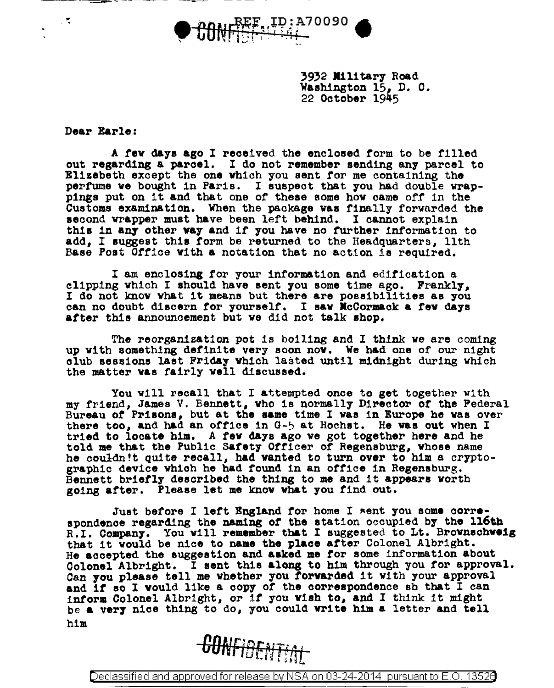

3932 Military Road Washington 15. D. C. 22 October 1945

Dear Earle:

..

A few days ago I received the enclosed form to be filled out regarding a parcel. I do not remember sending any parcel to Elizebeth except the one which you sent for me containing the perfume we bought in Paris. I suspect that you had double wrappings put on it and that one of these some how came off in the Customs examination. When the package was finally forwarded the second wrapper must have been left behind. I cannot explain this in any other way and if you have no further information to add, I suggest th1a form be returned to the Headquarters, 11th Base Poat Otfioe Vith a notation that no action ia required.

I am enclosing for your information and edification a clipping which I should have sent you some time ago. Frankly, I do not know what it means but there are poes1b111t1es as you can no doubt discern for yourself. I saw McCormack a few days after this announcement but we did not talk shop.

The reorganization pot is boiling and I think we are coming up with something definite very soon now. We had one of our night club sessions last Friday which lasted until midnight during which the matter was fairly well discussed.

You will recall that I attempted once to get together with my friend, James V. Bennett, who is normally Director or the Federal Bureau or Prisons, but at the aame time I was in Europe be was over there too, and had an office in  $G-5$  at Hochst. He was out when I tried to locate him. A rev days ago we got together here and he told me that the Public Safety Officer of Regensburg, whose name he couldn't quite recall, had wanted to turn over to him a cryptographic device which he had found in an office in Regensburg.<br>Bennett briefly described the thing to me and it appears worth going after. Please let me know vh&t you find out.

Just before I left England for home I sent you some correspondence regarding the naming of the station occupied by the 116th<br>R.I. Company. You will remember that I suggested to Lt. Brownschweig that it would be nice to name the place after Colonel Albright.<br>He accepted the suggestion and asked me for some information about<br>Colonel Albright. I sent this along to him through you for approval. Can you please tell me whether you forwarded it with your approval.<br>and if so I would like a copy of the correspondence sh that I can<br>inform Colonel Albright, or if you wish to, and I think it might be a very nice thing to do, you could write him a letter and tell him

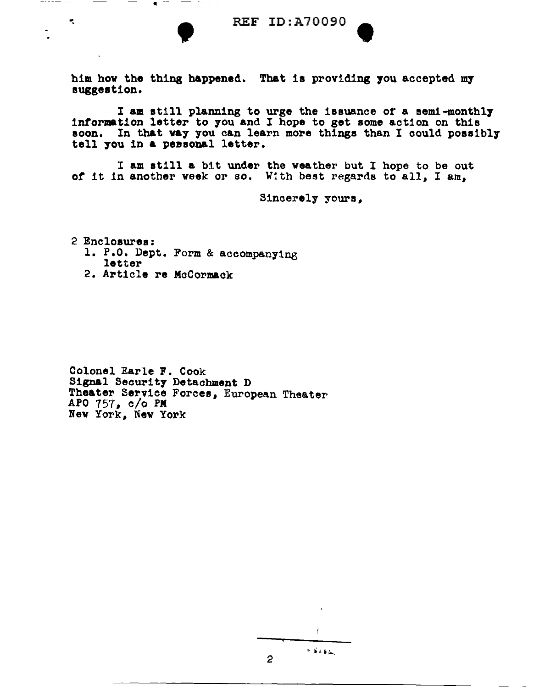REF ID:A70090 him how the thing happened. That is providing you accepted my suggestion.

I am still planning to urge the issuance or a aem1-monthl7 information letter to you and I hope to get some action on this soon. In that way you can learn more things than I could possibly tell you in a personal letter.

I am still a bit under the weather but I hope to be out *ot* it in another week or so. With best regards to all, I am,

Sincerely yours.

2 Enclosures:

÷.

1. P.O. Dept. Form & accompanying letter

. -- - - - -

2. Article re McCormack

Colonel Earle F. Cook Signal Security Detachment D Theater Service Forcee, European Theater APO 757, c/o PM Nev York, New York

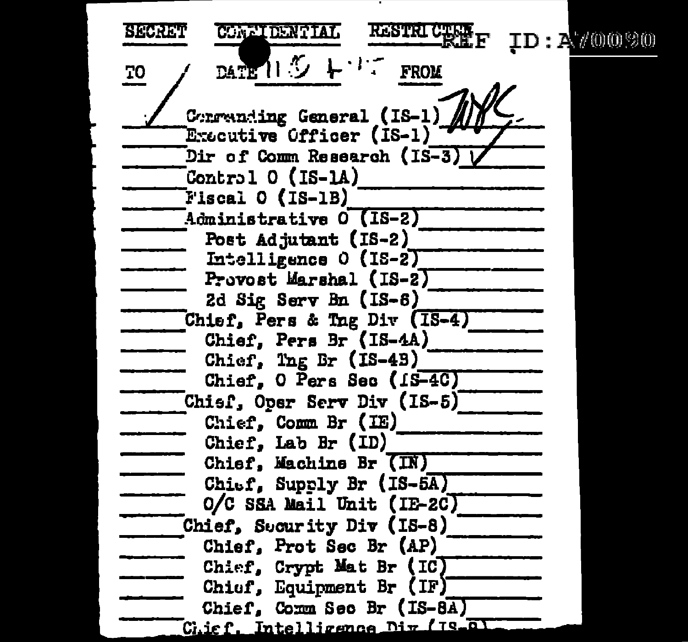RESTRICTELE<sub>F</sub> **SECRET** CONETEENTIAL  $ID: A \n *(0090)*$ DATE 11 ウィーワー 70 **FROM** Corrending General (IS-1) Executive Officer (IS-1) Dir of Comm Research (IS-3) L Control  $0$  (IS-1A)  $Fiseal 0 (IS-1B)$ Administrative O (IS-2) Post Adjutant (IS-2) Intelligence 0 (IS-2) Provost Marshal (IS-2) 2d Sig Serv Bn (IS-6) Chief, Pers & Tng Div (1S-4) Chief, Pers Br (IS-4A) Chief, Ing Br (IS-43) Chief, O Pers Sec (1S-4C) Chisf, Oper Serv Div (IS-5) Chief, Comm Br (IE) Chief, Lab Br (ID) Chief, Machine Br (IN) Chief, Supply Br (IS-5A) O/C SSA Mail Unit (IE-2C) Chief, Sucurity Div (IS-8) Chief. Prot Sec Br (AP) Chief, Crypt Mat Br (IC) Chiof, Equipment Br (IF) Chief, Comm Sec Br (IS-8A) Chief, Intelligence Div (IS al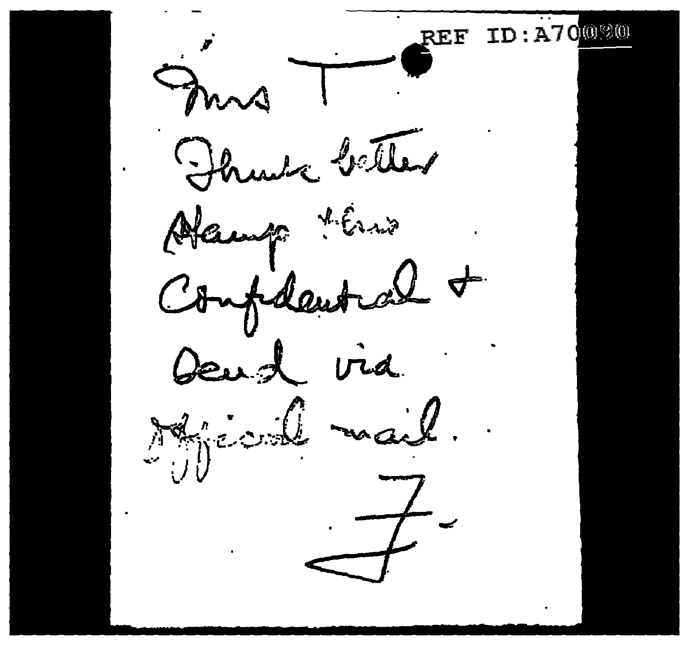**TD:A70000** 2F.F mis Flunta better Alamp this Confidential + Deud via Mical mail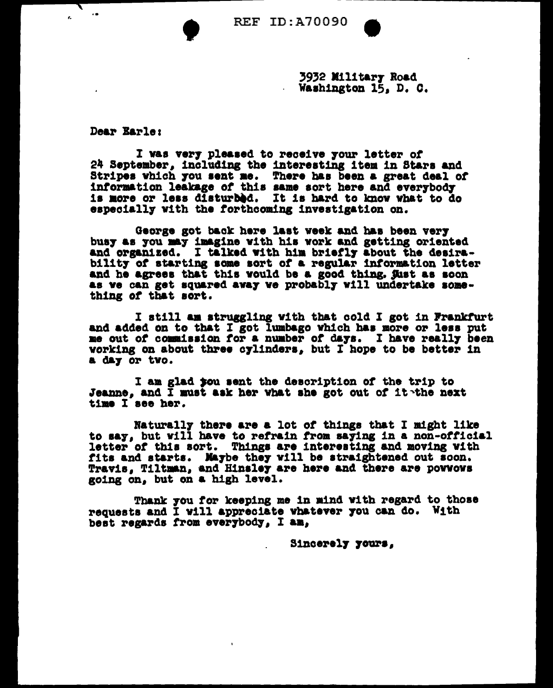•

3932 Military Road Washington 15, D. C.

Dear Barles

 $\mathbf{r}$ 

↸

I was very pleased to receive your letter of 24 September, including the interesting item in Stars and 8tr1pea which 7ou aent ae. There has been a great deal *ot*  information leakage of this same sort here and everybody is more or less disturbed. It is hard to know what to do especially with the forthcoming investigation on.

George got back here last week and has been very busy as you may imagine with his work and getting oriented and organized. I talked with him briefly about the desirability of starting some sort of a regular information letter and he agrees that this would be a good thing. Just as soon as ve can get squared avay ve probably vill undertake something *ot* that sort.

<sup>I</sup>still aa atruggl1ng v1th tbat cold I got in Prankrurt and added on to that I got lumbago which has more or less put me out of commission for a number of days. I have really been working on about three c711ndera. but I hope to be better 1n a Cla7 *or* tvo.

I am glad *you* sent the description of the trip to Jeanne, and I must ask her what she got out of it~the next time I see her.

lfaturall7 there are a lot *ot* things that I might like to say, but vill have to refrain from saying in a non-official letter of this sort. Things are interesting and moving with fits and starts. Maybe they will be straightened out soon. Travis, Tiltman, and Hinsley are here and there are powwows<br>going on, but on a high level.

Thank you for keeping me in mind with regard to those requests and I will appreciate whatever you can do. With best regards from everybody, I am,

B1ncerel7 7oura,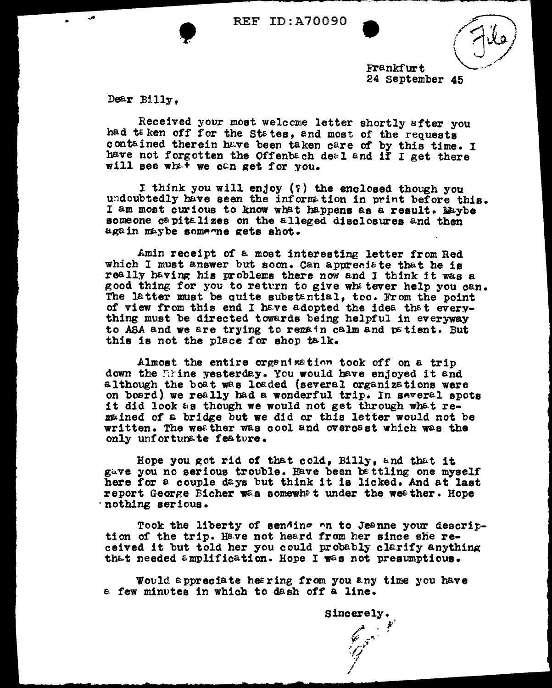REF ID:A70090

Frankfurt 24 September 45

Dear Billy.

Received your most welccme letter shortly after you had te ken off for the States, and most of the requests contained therein have been taken care of by this time. I have not forgotten the Offenbach deal and if I get there will see what we can get for you.

I think you will enjoy  $(?)$  the enclosed though you undoubtedly have seen the inform tion in print before this. I am most curious to know what happens as a result. Maybe someone capitalizes on the alleged disclosures and then again maybe some~ne gets shot.

Amin receipt of a most interesting letter from Red which I must answer but soon. Can appreciate that he is really having his problems there now and I think it was a good thing for you to return to give whe tever help you can. The latter must be quite substantial, too. From the point of view from this end I have adopted the idea that  $e\overline{v}$ erything must be directed towards being helpful in everyway to ASA and we are trying to remain calm and patient. But this is not the place for shop talk.

Almost the entire organization took off on a trip down the litine yesterday. You would have enjoyed it and although the boat was loaded (several organizations were on board) we really had a wonderful trip. In several spots 1 t did look Eis though we would not get through wh6-t remained of a bridge but we did or this letter would not be written. The weather was cool and overcast which was the only unfortunate feature.

Hope you got rid of that cold, Billy, and that it gave you no serious trouble. Have been bettling one myself here for a couple days but think it ia licked. And at last report George Bicher was somewhat under the weather. Hope ·nothing serious.

Took the liberty of sending on to Jeanne your description of the trip. Have not heard from her since she received it but told her you could probably clarify anything that needed amplification. Hope I was not presumptious.

Would appreciate hearing from you any time you have e. few minutes in which to dash off a line.

Sincerely. *//* .~ ' . <sup>~</sup>\_..\_- .. ~,,.. *"!!* ., /

F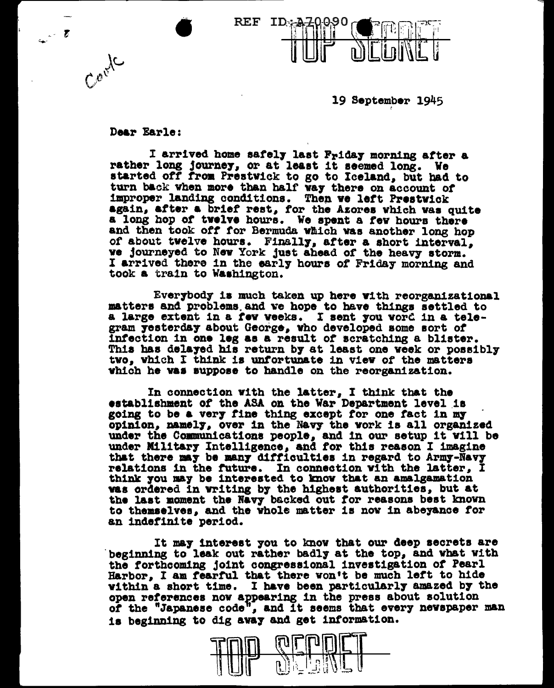

19 September 1945

## Dear Earle:

 $\boldsymbol{r}$ 

Coolc

I arrived home safely last Friday morning after a rather long journe7, or at least it seemed long. We started *ott* troa Preatviek to go to Iceland, but bad to turn back when more than half var there on account *ot*  improper landing conditions. Then we left Prestwick again, after a brief rest, for the Azores which was quite a long hop of twelve hours. We spent a few hours there and then took off for Bermuda which was another long hop of about twelve hours. Finally, after a short interval. ve journeyed to New York just ahead of the heavy storm. I arrived there in the earl7 hours *ot* Friday morning and took a train to Washington.

Everybody is much taken up here with reorganizational matters and problems and ve hope to have things settled to a large extent in a rev weeks. I aent fou vorG in a telegram 7eeterda7 about Georg•, vho developed some 1ort *ot*  1ntect1on in one leg aa a result *ot* scratching a blister. This has delayed his return by at least one week or possibly tvo. which I think is untortunate in view of the matters vhich he was suppose to handle on the reorganization.

In connection with the latter, I think that the establishment of the ASA on the War Department level is going to be a very fine thing except for one fact in my opinion, namely, over in the Navy the work is all organized under the Communications people, and in our setup it vill be under Military Intelligence, and for this reason I imagine that there **may** be many difficulties in regard to Army-Navy relations in the future. In connection with the latter,  $I$ think you may be interested to know that an amalgamation vas ordered in writing by the highest authorities, but at the last moment the Navy backed out for reasons best known to themselves, and the whole matter is now in abeyance for to themselves, and the whole matter is now in abeyance for an indefinite period.

It may interest you to know that our deep secrets are beginning to leak out rather badly at the top, and what with the forthcoming joint congressional investigation of Pearl Harbor, I am fearful that there won't be much left to hide vithin a short time. I have been particularly amazed by the open references now appearing in the press about solution of the "Japanese code", and it seems that every newspaper man is beginning to dig away and get information.